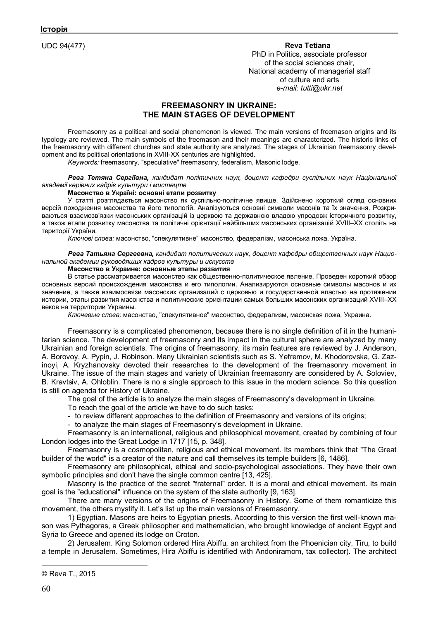UDC 94(477) **Reva Tetiana©**

PhD in Politics, associate professor of the social sciences chair, National academy of managerial staff of culture and arts *e-mail: tutti@ukr.net*

# **FREEMASONRY IN UKRAINE: THE MAIN STAGES OF DEVELOPMENT**

Freemasonry as a political and social phenomenon is viewed. The main versions of freemason origins and its typology are reviewed. The main symbols of the freemason and their meanings are characterized. The historic links of the freemasonry with different churches and state authority are analyzed. The stages of Ukrainian freemasonry development and its political orientations in XVIII-XX centuries are highlighted.

*Keywords:* freemasonry, "speculative" freemasonry, federalism, Masonic lodge.

*Рева Тетяна Сергіївна, кандидат політичних наук, доцент кафедри суспільних наук Національної академії керівних кадрів культури і мистецтв*

## **Масонство в Україні: основні етапи розвитку**

У статті розглядається масонство як суспільно-політичне явище. Здійснено короткий огляд основних версій походження масонства та його типологій. Аналізуються основні символи масонів та їх значення. Розкриваються взаємозв'язки масонських організацій із церквою та державною владою упродовж історичного розвитку, а також етапи розвитку масонства та політичні орієнтації найбільших масонських організацій XVIII–XX століть на території України.

*Ключові слова:* масонство, "спекулятивне" масонство, федералізм, масонська ложа, Україна.

*Рева Татьяна Сергеевна, кандидат политических наук, доцент кафедры общественных наук Национальной академии руководящих кадров культуры и искусств*

## **Масонство в Украине: основные этапы развития**

В статье рассматривается масонство как общественно-политическое явление. Проведен короткий обзор основных версий происхождения масонства и его типологии. Анализируются основные символы масонов и их значение, а также взаимосвязи масонских организаций с церковью и государственной властью на протяжении истории, этапы развития масонства и политические ориентации самых больших масонских организаций XVIII–XX веков на территории Украины.

*Ключевые слова:* масонство, "спекулятивное" масонство, федерализм, масонская ложа, Украина.

Freemasonry is a complicated phenomenon, because there is no single definition of it in the humanitarian science. The development of freemasonry and its impact in the cultural sphere are analyzed by many Ukrainian and foreign scientists. The origins of freemasonry, its main features are reviewed by J. Anderson, A. Borovoy, A. Pypin, J. Robinson. Many Ukrainian scientists such as S. Yefremov, M. Khodorovska, G. Zazinoyi, A. Kryzhanovsky devoted their researches to the development of the freemasonry movement in Ukraine. The issue of the main stages and variety of Ukrainian freemasonry are considered by A. Soloviev, B. Kravtsiv, A. Ohloblin. There is no a single approach to this issue in the modern science. So this question is still on agenda for History of Ukraine.

The goal of the article is to analyze the main stages of Freemasonry's development in Ukraine.

To reach the goal of the article we have to do such tasks:

- to review different approaches to the definition of Freemasonry and versions of its origins;

- to analyze the main stages of Freemasonry's development in Ukraine.

Freemasonry is an international, religious and philosophical movement, created by combining of four London lodges into the Great Lodge in 1717 [15, p. 348].

Freemasonry is a cosmopolitan, religious and ethical movement. Its members think that "The Great builder of the world" is a creator of the nature and call themselves its temple builders [6, 1486].

Freemasonry are philosophical, ethical and socio-psychological associations. They have their own symbolic principles and don't have the single common centre [13, 425].

Masonry is the practice of the secret "fraternal" order. It is a moral and ethical movement. Its main goal is the "educational" influence on the system of the state authority [9, 163].

There are many versions of the origins of Freemasonry in History. Some of them romanticize this movement, the others mystify it. Let's list up the main versions of Freemasonry.

1) Egyptian. Masons are heirs to Egyptian priests. According to this version the first well-known mason was Pythagoras, a Greek philosopher and mathematician, who brought knowledge of ancient Egypt and Syria to Greece and opened its lodge on Croton.

2) Jerusalem. King Solomon ordered Hira Abiffu, an architect from the Phoenician city, Tiru, to build a temple in Jerusalem. Sometimes, Hira Abiffu is identified with Andoniramom, tax collector). The architect

© Reva T., 2015

 $\overline{a}$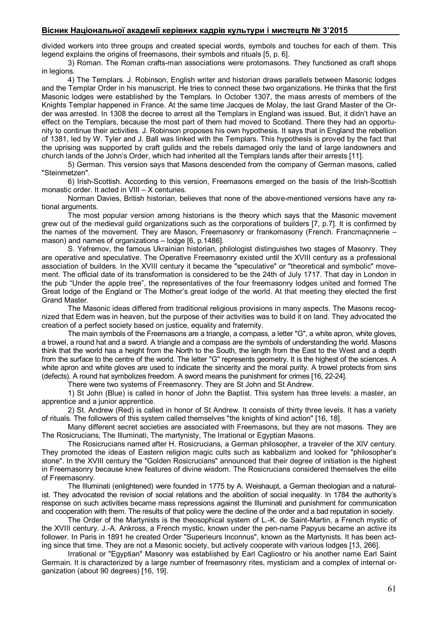# **Вісник Національної академії керівних кадрів культури і мистецтв № 3'2015**

divided workers into three groups and created special words, symbols and touches for each of them. This legend explains the origins of freemasons, their symbols and rituals [5, p. 6].

3) Roman. The Roman crafts-man associations were protomasons. They functioned as craft shops in legions.

4) The Templars. J. Robinson, English writer and historian draws parallels between Masonic lodges and the Templar Order in his manuscript. He tries to connect these two organizations. He thinks that the first Masonic lodges were established by the Templars. In October 1307, the mass arrests of members of the Knights Templar happened in France. At the same time Jacques de Molay, the last Grand Master of the Order was arrested. In 1308 the decree to arrest all the Templars in England was issued. But, it didn't have an effect on the Templars, because the most part of them had moved to Scotland. There they had an opportunity to continue their activities. J. Robinson proposes his own hypothesis. It says that in England the rebellion of 1381, led by W. Tyler and J. Ball was linked with the Templars. This hypothesis is proved by the fact that the uprising was supported by craft guilds and the rebels damaged only the land of large landowners and church lands of the John's Order, which had inherited all the Templars lands after their arrests [11].

5) German. This version says that Masons descended from the company of German masons, called "Steinmetzen".

6) Irish-Scottish. According to this version, Freemasons emerged on the basis of the Irish-Scottish monastic order. It acted in VIII – X centuries.

Norman Davies, British historian, believes that none of the above-mentioned versions have any rational arguments.

The most popular version among historians is the theory which says that the Masonic movement grew out of the medieval guild organizations such as the corporations of builders [7, p.7]. It is confirmed by the names of the movement. They are Mason, Freemasonry or frankomasony (French. Francmaçnnerie – mason) and names of organizations – lodge [6, p.1486].

S. Yefremov, the famous Ukrainian historian, philologist distinguishes two stages of Masonry. They are operative and speculative. The Operative Freemasonry existed until the XVIII century as a professional association of builders. In the XVIII century it became the "speculative" or "theoretical and symbolic" movement. The official date of its transformation is considered to be the 24th of July 1717. That day in London in the pub "Under the apple tree", the representatives of the four freemasonry lodges united and formed The Great lodge of the England or The Mother's great lodge of the world. At that meeting they elected the first Grand Master.

The Masonic ideas differed from traditional religious provisions in many aspects. The Masons recognized that Edem was in heaven, but the purpose of their activities was to build it on land. They advocated the creation of a perfect society based on justice, equality and fraternity.

The main symbols of the Freemasons are a triangle, a compass, a letter "G", a white apron, white gloves, a trowel, a round hat and a sword. A triangle and a compass are the symbols of understanding the world. Masons think that the world has a height from the North to the South, the length from the East to the West and a depth from the surface to the centre of the world. The letter "G" represents geometry. It is the highest of the sciences. A white apron and white gloves are used to indicate the sincerity and the moral purity. A trowel protects from sins (defects). A round hat symbolizes freedom. A sword means the punishment for crimes [16, 22-24].

There were two systems of Freemasonry. They are St John and St Andrew.

1) St John (Blue) is called in honor of John the Baptist. This system has three levels: a master, an apprentice and a junior apprentice.

2) St. Andrew (Red) is called in honor of St Andrew. It consists of thirty three levels. It has a variety of rituals. The followers of this system called themselves "the knights of kind action" [16, 18].

Many different secret societies are associated with Freemasons, but they are not masons. They are The Rosicrucians, The Illuminati, The martynisty, The Irrational or Egyptian Masons.

The Rosicrucians named after H. Rosicrucians, a German philosopher, a traveler of the XIV century. They promoted the ideas of Eastern religion magic cults such as kabbalizm and looked for "philosopher's stone". In the XVIII century the "Golden Rosicrucians" announced that their degree of initiation is the highest in Freemasonry because knew features of divine wisdom. The Rosicrucians considered themselves the elite of Freemasonry.

The Illuminati (enlightened) were founded in 1775 by A. Weishaupt, a German theologian and a naturalist. They advocated the revision of social relations and the abolition of social inequality. In 1784 the authority's response on such activities became mass repressions against the Illuminati and punishment for communication and cooperation with them. The results of that policy were the decline of the order and a bad reputation in society.

The Order of the Martynists is the theosophical system of L.-K. de Saint-Martin, a French mystic of the XVIII century. J.-A. Ankross, a French mystic, known under the pen-name Papyus became an active its follower. In Paris in 1891 he created Order "Superieurs Inconnus", known as the Martynists. It has been acting since that time. They are not a Masonic society, but actively cooperate with various lodges [13, 266].

Irrational or "Egyptian" Masonry was established by Earl Cagliostro or his another name Earl Saint Germain. It is characterized by a large number of freemasonry rites, mysticism and a complex of internal organization (about 90 degrees) [16, 19].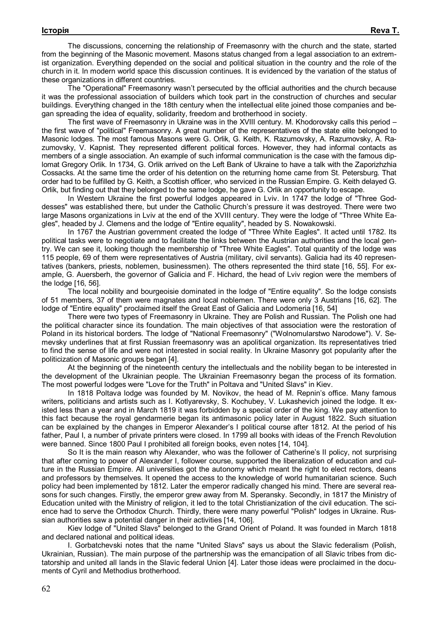The discussions, concerning the relationship of Freemasonry with the church and the state, started from the beginning of the Masonic movement. Masons status changed from a legal association to an extremist organization. Everything depended on the social and political situation in the country and the role of the church in it. In modern world space this discussion continues. It is evidenced by the variation of the status of these organizations in different countries.

The "Operational" Freemasonry wasn't persecuted by the official authorities and the church because it was the professional association of builders which took part in the construction of churches and secular buildings. Everything changed in the 18th century when the intellectual elite joined those companies and began spreading the idea of equality, solidarity, freedom and brotherhood in society.

The first wave of Freemasonry in Ukraine was in the XVIII century. M. Khodorovsky calls this period – the first wave of "political" Freemasonry. A great number of the representatives of the state elite belonged to Masonic lodges. The most famous Masons were G. Orlik, G. Keith, K. Razumovsky, A. Razumovsky, A. Razumovsky, V. Kapnist. They represented different political forces. However, they had informal contacts as members of a single association. An example of such informal communication is the case with the famous diplomat Gregory Orlik. In 1734, G. Orlik arrived on the Left Bank of Ukraine to have a talk with the Zaporizhzhia Cossacks. At the same time the order of his detention on the returning home came from St. Petersburg. That order had to be fulfilled by G. Keith, a Scottish officer, who serviced in the Russian Empire. G. Keith delayed G. Orlik, but finding out that they belonged to the same lodge, he gave G. Orlik an opportunity to escape.

In Western Ukraine the first powerful lodges appeared in Lviv. In 1747 the lodge of "Three Goddesses" was established there, but under the Catholic Church's pressure it was destroyed. There were two large Masons organizations in Lviv at the end of the XVIII century. They were the lodge of "Three White Eagles", headed by J. Clemens and the lodge of "Entire equality", headed by S. Nowakowski.

In 1767 the Austrian government created the lodge of "Three White Eagles". It acted until 1782. Its political tasks were to negotiate and to facilitate the links between the Austrian authorities and the local gentry. We can see it, looking though the membership of "Three White Eagles". Total quantity of the lodge was 115 people, 69 of them were representatives of Austria (military, civil servants). Galicia had its 40 representatives (bankers, priests, noblemen, businessmen). The others represented the third state [16, 55]. For example, G. Auersberh, the governor of Galicia and F. Hichard, the head of Lviv region were the members of the lodge [16, 56].

The local nobility and bourgeoisie dominated in the lodge of "Entire equality". So the lodge consists of 51 members, 37 of them were magnates and local noblemen. There were only 3 Austrians [16, 62]. The lodge of "Entire equality" proclaimed itself the Great East of Galicia and Lodomeria [16, 54]

There were two types of Freemasonry in Ukraine. They are Polish and Russian. The Polish one had the political character since its foundation. The main objectives of that association were the restoration of Poland in its historical borders. The lodge of "National Freemasonry" ("Wolnomularstwo Narodowe"). V. Semevsky underlines that at first Russian freemasonry was an apolitical organization. Its representatives tried to find the sense of life and were not interested in social reality. In Ukraine Masonry got popularity after the politicization of Masonic groups began [4].

At the beginning of the nineteenth century the intellectuals and the nobility began to be interested in the development of the Ukrainian people. The Ukrainian Freemasonry began the process of its formation. The most powerful lodges were "Love for the Truth" in Poltava and "United Slavs" in Kiev.

In 1818 Poltava lodge was founded by M. Novikov, the head of M. Repnin's office. Many famous writers, politicians and artists such as I. Kotlyarevsky, S. Kochubey, V. Lukashevich joined the lodge. It existed less than a year and in March 1819 it was forbidden by a special order of the king. We pay attention to this fact because the royal gendarmerie began its antimasonic policy later in August 1822. Such situation can be explained by the changes in Emperor Alexander's I political course after 1812. At the period of his father, Paul I, a number of private printers were closed. In 1799 all books with ideas of the French Revolution were banned. Since 1800 Paul I prohibited all foreign books, even notes [14, 104].

So It is the main reason why Alexander, who was the follower of Catherine's II policy, not surprising that after coming to power of Alexander I, follower course, supported the liberalization of education and culture in the Russian Empire. All universities got the autonomy which meant the right to elect rectors, deans and professors by themselves. It opened the access to the knowledge of world humanitarian science. Such policy had been implemented by 1812. Later the emperor radically changed his mind. There are several reasons for such changes. Firstly, the emperor grew away from M. Speransky. Secondly, in 1817 the Ministry of Education united with the Ministry of religion, it led to the total Christianization of the civil education. The science had to serve the Orthodox Church. Thirdly, there were many powerful "Polish" lodges in Ukraine. Russian authorities saw a potential danger in their activities [14, 106].

Kiev lodge of "United Slavs" belonged to the Grand Orient of Poland. It was founded in March 1818 and declared national and political ideas.

I. Gorbatchevski notes that the name "United Slavs" says us about the Slavic federalism (Polish, Ukrainian, Russian). The main purpose of the partnership was the emancipation of all Slavic tribes from dictatorship and united all lands in the Slavic federal Union [4]. Later those ideas were proclaimed in the documents of Cyril and Methodius brotherhood.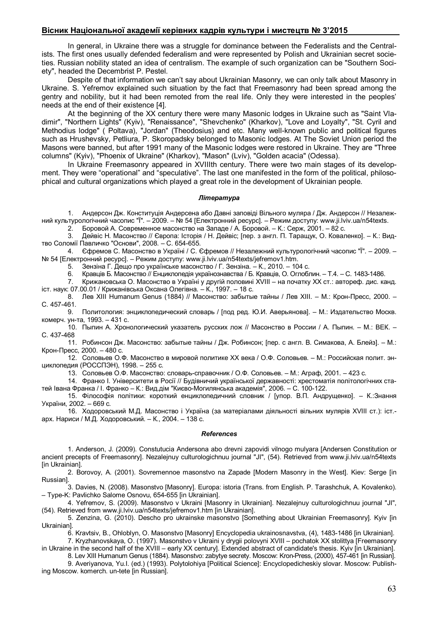## **Вісник Національної академії керівних кадрів культури і мистецтв № 3'2015**

In general, in Ukraine there was a struggle for dominance between the Federalists and the Centralists. The first ones usually defended federalism and were represented by Polish and Ukrainian secret societies. Russian nobility stated an idea of centralism. The example of such organization can be "Southern Society", headed the Decembrist P. Pestel.

Despite of that information we can't say about Ukrainian Masonry, we can only talk about Masonry in Ukraine. S. Yefremov explained such situation by the fact that Freemasonry had been spread among the gentry and nobility, but it had been remoted from the real life. Only they were interested in the peoples' needs at the end of their existence [4].

At the beginning of the XX century there were many Masonic lodges in Ukraine such as "Saint Vladimir", "Northern Lights" (Kyiv), "Renaissance", "Shevchenko" (Kharkov), "Love and Loyalty", "St. Cyril and Methodius lodge" ( Poltava), "Jordan" (Theodosius) and etc. Many well-known public and political figures such as Hrushevsky, Petliura, P. Skoropadsky belonged to Masonic lodges. At The Soviet Union period the Masons were banned, but after 1991 many of the Masonic lodges were restored in Ukraine. They are "Three columns" (Kyiv), "Phoenix of Ukraine" (Kharkov), "Mason" (Lviv), "Golden acacia" (Odessa).

In Ukraine Freemasonry appeared in XVIIIth century. There were two main stages of its development. They were "operational" and "speculative". The last one manifested in the form of the political, philosophical and cultural organizations which played a great role in the development of Ukrainian people.

### *Література*

1. Андерсон Дж. Конституція Андерсена або Давні заповіді Вільного муляра / Дж. Андерсон // Незалежний культурологічний часопис "Ї". – 2009. – № 54 [Електронний ресурс]. – Режим доступу: www.ji.lviv.ua/n54texts.

2. Боровой А. Современное масонство на Западе / А. Боровой. – К.: Серж, 2001. – 82 с.

3. Дейвіс Н. Масонство // Європа: Історія / Н. Дейвіс; [пер. з англ. П. Таращук, О. Коваленко]. – К.: Видтво Соломії Павличко "Основи", 2008. – С. 654-655.

4. Єфремов С. Масонство в Україні / С. Єфремов // Незалежний культурологічний часопис "Ї". – 2009. – № 54 [Електронний ресурс]. – Режим доступу: www.ji.lviv.ua/n54texts/jefremov1.htm.

5. Зензіна Г. Дещо про українське масонство / Г. Зензіна. – К., 2010. – 104 с.

6. Кравців Б. Масонство // Енциклопедія українознавства / Б. Кравців, О. Оглоблин. – Т.4. – С. 1483-1486.

7. Крижановська О. Масонство в Україні у другій половині XVIII – на початку ХХ ст.: автореф. дис. канд. іст. наук: 07.00.01 / Крижанівська Оксана Олегівна. – К., 1997. – 18 с.

8. Лев ХІІІ Humanum Genus (1884) // Масонство: забытые тайны / Лев ХІІІ. – М.: Крон-Пресс, 2000. – С. 457-461.

9. Политология: энциклопедический словарь / [под ред. Ю.И. Аверьянова]. – М.: Издательство Москв. комерч. ун-та, 1993. – 431 с.

10. Пыпин А. Хронологический указатель русских лож // Масонство в России / А. Пыпин. – М.: ВЕК. – С. 437-468

11. Робинсон Дж. Масонство: забытые тайны / Дж. Робинсон; [пер. с англ. В. Симакова, А. Блейз]. – М.: Крон-Пресс, 2000. – 480 с.

12. Соловьев О.Ф. Масонство в мировой политике ХХ века / О.Ф. Соловьев. – М.: Российская полит. энциклопедия (РОССПЭН), 1998. – 255 с.

13. Соловьев О.Ф. Масонство: словарь-справочник / О.Ф. Соловьев. – М.: Аграф, 2001. – 423 с.

14. Франко І. Університети в Росії // Будівничий української державності: хрестоматія політологічних статей Івана Франка / І. Франко – К.: Вид.дім "Києво-Могилянська академія", 2006. – С. 100-122.

15. Філософія політики: короткий енциклопедичний словник / [упор. В.П. Андрущенко]. – К.:Знання України, 2002. – 669 с.

16. Ходоровський М.Д. Масонство і Україна (за матеріалами діяльності вільних мулярів XVIII ст.): іст. арх. Нариси / М.Д. Ходоровський. – К., 2004. – 138 с.

#### *References*

1. Anderson, J. (2009). Constutucia Andersona abo drevni zapovidi vilnogo mulyara [Andersen Constitution or ancient precepts of Freemasonry]. Nezalejnuy culturologichnuu journal "JI", (54). Retrieved from www.ji.lviv.ua/n54texts [in Ukrainian].

2. Borovoy, A. (2001). Sovremennoe masonstvo na Zapade [Modern Masonry in the West]. Kiev: Serge [in Russian].

3. Davies, N. (2008). Masonstvo [Masonry]. Europa: istoria (Trans. from English. P. Tarashchuk, A. Kovalenko). – Type-K: Pavlichko Salome Osnovu, 654-655 [in Ukrainian].

4. Yefremov, S. (2009). Masonstvo v Ukraini [Masonry in Ukrainian]. Nezalejnuy culturologichnuu journal "JI", (54). Retrieved from www.ji.lviv.ua/n54texts/jefremov1.htm [in Ukrainian].

5. Zenzina, G. (2010). Descho pro ukrainske masonstvo [Something about Ukrainian Freemasonry]. Kyiv [in Ukrainian].

6. Kravtsiv, B., Ohloblyn, O. Masonstvo [Masonry] Encyclopedia ukrainosnavstva, (4), 1483-1486 [in Ukrainian]. 7. Kryzhanovskaya, O. (1997). Masonstvo v Ukraini y drygii polovyni XVIII – pochatok XX stolittya [Freemasonry

in Ukraine in the second half of the XVIII – early XX century]. Extended abstract of candidate's thesis. Kyiv [in Ukrainian]. 8. Lev XIII Humanum Genus (1884). Masonstvo: zabytye secrety. Moscow: Kron-Press, (2000), 457-461 [in Russian].

9. Averiyanova, Yu.I. (ed.) (1993). Polytolohiya [Political Science]: Encyclopedicheskiy slovar. Moscow: Publish-

ing Moscow. komerch. un-tete [in Russian].